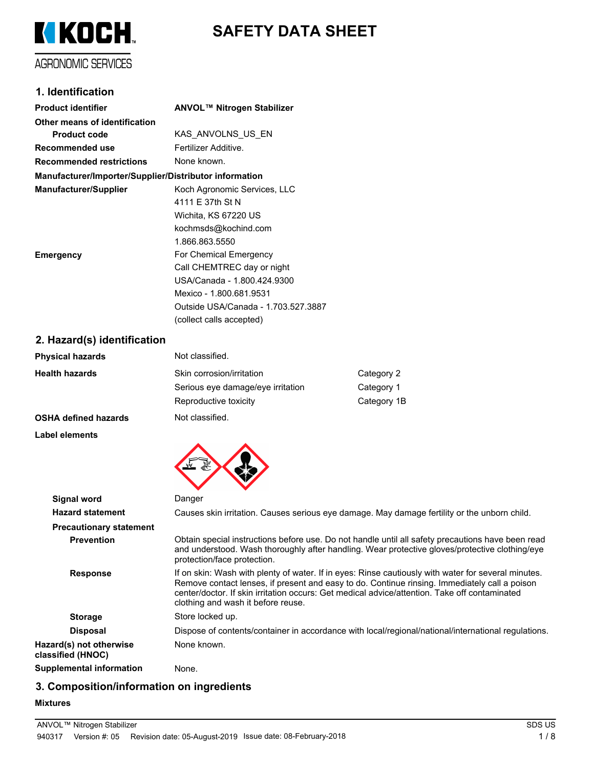

# **SAFETY DATA SHEET**

### **1. Identification**

| <b>Product identifier</b>                              | ANVOL™ Nitrogen Stabilizer          |
|--------------------------------------------------------|-------------------------------------|
| Other means of identification                          |                                     |
| <b>Product code</b>                                    | KAS ANVOLNS US EN                   |
| Recommended use                                        | Fertilizer Additive                 |
| <b>Recommended restrictions</b>                        | None known.                         |
| Manufacturer/Importer/Supplier/Distributor information |                                     |
| <b>Manufacturer/Supplier</b>                           | Koch Agronomic Services, LLC        |
|                                                        | 4111 E 37th St N                    |
|                                                        | Wichita, KS 67220 US                |
|                                                        | kochmsds@kochind.com                |
|                                                        | 1.866.863.5550                      |
| <b>Emergency</b>                                       | For Chemical Emergency              |
|                                                        | Call CHEMTREC day or night          |
|                                                        | USA/Canada - 1.800.424.9300         |
|                                                        | Mexico - 1.800.681.9531             |
|                                                        | Outside USA/Canada - 1.703.527.3887 |
|                                                        | (collect calls accepted)            |
|                                                        |                                     |

#### **2. Hazard(s) identification**

| <b>Physical hazards</b> | Not classified.                   |             |
|-------------------------|-----------------------------------|-------------|
| <b>Health hazards</b>   | Skin corrosion/irritation         | Category 2  |
|                         | Serious eye damage/eye irritation | Category 1  |
|                         | Reproductive toxicity             | Category 1B |
| OCUA defined hereude    | Nat algooifiad                    |             |

#### **OSHA defined hazards** Not classified.

#### **Label elements**



| <b>Signal word</b>                           | Danger                                                                                                                                                                                                                                                                                                                                      |
|----------------------------------------------|---------------------------------------------------------------------------------------------------------------------------------------------------------------------------------------------------------------------------------------------------------------------------------------------------------------------------------------------|
| <b>Hazard statement</b>                      | Causes skin irritation. Causes serious eye damage. May damage fertility or the unborn child.                                                                                                                                                                                                                                                |
| <b>Precautionary statement</b>               |                                                                                                                                                                                                                                                                                                                                             |
| <b>Prevention</b>                            | Obtain special instructions before use. Do not handle until all safety precautions have been read<br>and understood. Wash thoroughly after handling. Wear protective gloves/protective clothing/eye<br>protection/face protection.                                                                                                          |
| <b>Response</b>                              | If on skin: Wash with plenty of water. If in eyes: Rinse cautiously with water for several minutes.<br>Remove contact lenses, if present and easy to do. Continue rinsing. Immediately call a poison<br>center/doctor. If skin irritation occurs: Get medical advice/attention. Take off contaminated<br>clothing and wash it before reuse. |
| <b>Storage</b>                               | Store locked up.                                                                                                                                                                                                                                                                                                                            |
| <b>Disposal</b>                              | Dispose of contents/container in accordance with local/regional/national/international regulations.                                                                                                                                                                                                                                         |
| Hazard(s) not otherwise<br>classified (HNOC) | None known.                                                                                                                                                                                                                                                                                                                                 |
| Supplemental information                     | None.                                                                                                                                                                                                                                                                                                                                       |

# **3. Composition/information on ingredients**

#### **Mixtures**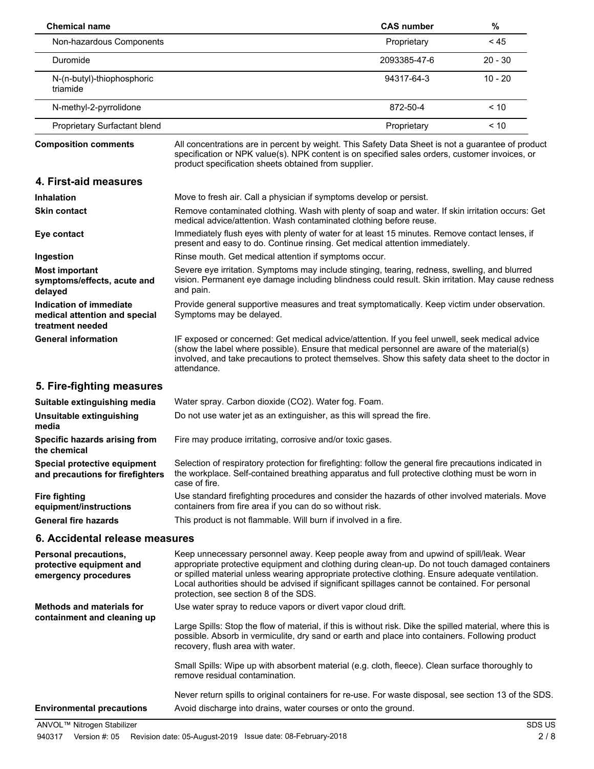| <b>Chemical name</b>                                                             |                                                                                                                                                                                                                                                                                                                                                                                                                                        | <b>CAS number</b> | %         |  |
|----------------------------------------------------------------------------------|----------------------------------------------------------------------------------------------------------------------------------------------------------------------------------------------------------------------------------------------------------------------------------------------------------------------------------------------------------------------------------------------------------------------------------------|-------------------|-----------|--|
| Non-hazardous Components                                                         |                                                                                                                                                                                                                                                                                                                                                                                                                                        | Proprietary       | < 45      |  |
| Duromide                                                                         |                                                                                                                                                                                                                                                                                                                                                                                                                                        | 2093385-47-6      | $20 - 30$ |  |
| N-(n-butyl)-thiophosphoric<br>triamide                                           |                                                                                                                                                                                                                                                                                                                                                                                                                                        | 94317-64-3        | $10 - 20$ |  |
| N-methyl-2-pyrrolidone                                                           |                                                                                                                                                                                                                                                                                                                                                                                                                                        | 872-50-4          | < 10      |  |
| Proprietary Surfactant blend                                                     |                                                                                                                                                                                                                                                                                                                                                                                                                                        | Proprietary       | < 10      |  |
| <b>Composition comments</b>                                                      | All concentrations are in percent by weight. This Safety Data Sheet is not a guarantee of product<br>specification or NPK value(s). NPK content is on specified sales orders, customer invoices, or<br>product specification sheets obtained from supplier.                                                                                                                                                                            |                   |           |  |
| 4. First-aid measures                                                            |                                                                                                                                                                                                                                                                                                                                                                                                                                        |                   |           |  |
| <b>Inhalation</b>                                                                | Move to fresh air. Call a physician if symptoms develop or persist.                                                                                                                                                                                                                                                                                                                                                                    |                   |           |  |
| <b>Skin contact</b>                                                              | Remove contaminated clothing. Wash with plenty of soap and water. If skin irritation occurs: Get<br>medical advice/attention. Wash contaminated clothing before reuse.                                                                                                                                                                                                                                                                 |                   |           |  |
| Eye contact                                                                      | Immediately flush eyes with plenty of water for at least 15 minutes. Remove contact lenses, if<br>present and easy to do. Continue rinsing. Get medical attention immediately.                                                                                                                                                                                                                                                         |                   |           |  |
| Ingestion                                                                        | Rinse mouth. Get medical attention if symptoms occur.                                                                                                                                                                                                                                                                                                                                                                                  |                   |           |  |
| <b>Most important</b><br>symptoms/effects, acute and<br>delayed                  | Severe eye irritation. Symptoms may include stinging, tearing, redness, swelling, and blurred<br>vision. Permanent eye damage including blindness could result. Skin irritation. May cause redness<br>and pain.                                                                                                                                                                                                                        |                   |           |  |
| Indication of immediate<br>medical attention and special<br>treatment needed     | Provide general supportive measures and treat symptomatically. Keep victim under observation.<br>Symptoms may be delayed.                                                                                                                                                                                                                                                                                                              |                   |           |  |
| <b>General information</b>                                                       | IF exposed or concerned: Get medical advice/attention. If you feel unwell, seek medical advice<br>(show the label where possible). Ensure that medical personnel are aware of the material(s)<br>involved, and take precautions to protect themselves. Show this safety data sheet to the doctor in<br>attendance.                                                                                                                     |                   |           |  |
| 5. Fire-fighting measures                                                        |                                                                                                                                                                                                                                                                                                                                                                                                                                        |                   |           |  |
| Suitable extinguishing media                                                     | Water spray. Carbon dioxide (CO2). Water fog. Foam.                                                                                                                                                                                                                                                                                                                                                                                    |                   |           |  |
| Unsuitable extinguishing<br>media                                                | Do not use water jet as an extinguisher, as this will spread the fire.                                                                                                                                                                                                                                                                                                                                                                 |                   |           |  |
| Specific hazards arising from<br>the chemical                                    | Fire may produce irritating, corrosive and/or toxic gases.                                                                                                                                                                                                                                                                                                                                                                             |                   |           |  |
| Special protective equipment<br>and precautions for firefighters                 | Selection of respiratory protection for firefighting: follow the general fire precautions indicated in<br>the workplace. Self-contained breathing apparatus and full protective clothing must be worn in<br>case of fire.                                                                                                                                                                                                              |                   |           |  |
| <b>Fire fighting</b><br>equipment/instructions                                   | Use standard firefighting procedures and consider the hazards of other involved materials. Move<br>containers from fire area if you can do so without risk.                                                                                                                                                                                                                                                                            |                   |           |  |
| <b>General fire hazards</b>                                                      | This product is not flammable. Will burn if involved in a fire.                                                                                                                                                                                                                                                                                                                                                                        |                   |           |  |
| 6. Accidental release measures                                                   |                                                                                                                                                                                                                                                                                                                                                                                                                                        |                   |           |  |
| <b>Personal precautions,</b><br>protective equipment and<br>emergency procedures | Keep unnecessary personnel away. Keep people away from and upwind of spill/leak. Wear<br>appropriate protective equipment and clothing during clean-up. Do not touch damaged containers<br>or spilled material unless wearing appropriate protective clothing. Ensure adequate ventilation.<br>Local authorities should be advised if significant spillages cannot be contained. For personal<br>protection, see section 8 of the SDS. |                   |           |  |
| <b>Methods and materials for</b>                                                 | Use water spray to reduce vapors or divert vapor cloud drift.                                                                                                                                                                                                                                                                                                                                                                          |                   |           |  |
| containment and cleaning up                                                      | Large Spills: Stop the flow of material, if this is without risk. Dike the spilled material, where this is<br>possible. Absorb in vermiculite, dry sand or earth and place into containers. Following product<br>recovery, flush area with water.                                                                                                                                                                                      |                   |           |  |
|                                                                                  | Small Spills: Wipe up with absorbent material (e.g. cloth, fleece). Clean surface thoroughly to<br>remove residual contamination.                                                                                                                                                                                                                                                                                                      |                   |           |  |

Never return spills to original containers for re-use. For waste disposal, see section 13 of the SDS. **Environmental precautions** Avoid discharge into drains, water courses or onto the ground.

ANVOL™ Nitrogen Stabilizer SDS US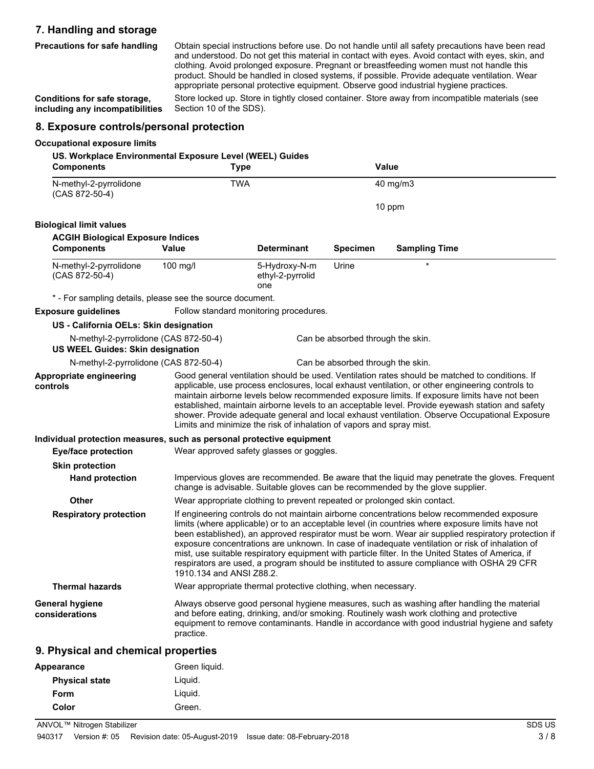#### **7. Handling and storage**

**Precautions for safe handling**

Obtain special instructions before use. Do not handle until all safety precautions have been read and understood. Do not get this material in contact with eyes. Avoid contact with eyes, skin, and clothing. Avoid prolonged exposure. Pregnant or breastfeeding women must not handle this product. Should be handled in closed systems, if possible. Provide adequate ventilation. Wear appropriate personal protective equipment. Observe good industrial hygiene practices.

**Conditions for safe storage, including any incompatibilities**

Store locked up. Store in tightly closed container. Store away from incompatible materials (see Section 10 of the SDS).

#### **8. Exposure controls/personal protection**

#### **Occupational exposure limits**

| <b>Components</b>                                                                | US. Workplace Environmental Exposure Level (WEEL) Guides<br><b>Type</b> |                                                                          | Value                             |                                                                                                                                                                                                                                                                                                                                                                                                                                                                                                                                                                                                              |  |
|----------------------------------------------------------------------------------|-------------------------------------------------------------------------|--------------------------------------------------------------------------|-----------------------------------|--------------------------------------------------------------------------------------------------------------------------------------------------------------------------------------------------------------------------------------------------------------------------------------------------------------------------------------------------------------------------------------------------------------------------------------------------------------------------------------------------------------------------------------------------------------------------------------------------------------|--|
| N-methyl-2-pyrrolidone<br>(CAS 872-50-4)                                         | <b>TWA</b>                                                              |                                                                          |                                   | 40 mg/m3                                                                                                                                                                                                                                                                                                                                                                                                                                                                                                                                                                                                     |  |
|                                                                                  |                                                                         |                                                                          |                                   | 10 ppm                                                                                                                                                                                                                                                                                                                                                                                                                                                                                                                                                                                                       |  |
| <b>Biological limit values</b>                                                   |                                                                         |                                                                          |                                   |                                                                                                                                                                                                                                                                                                                                                                                                                                                                                                                                                                                                              |  |
| <b>ACGIH Biological Exposure Indices</b>                                         |                                                                         |                                                                          |                                   |                                                                                                                                                                                                                                                                                                                                                                                                                                                                                                                                                                                                              |  |
| <b>Components</b>                                                                | Value                                                                   | <b>Determinant</b>                                                       | <b>Specimen</b>                   | <b>Sampling Time</b>                                                                                                                                                                                                                                                                                                                                                                                                                                                                                                                                                                                         |  |
| N-methyl-2-pyrrolidone<br>(CAS 872-50-4)                                         | 100 mg/l                                                                | 5-Hydroxy-N-m<br>ethyl-2-pyrrolid<br>one                                 | Urine                             | $\star$                                                                                                                                                                                                                                                                                                                                                                                                                                                                                                                                                                                                      |  |
| * - For sampling details, please see the source document.                        |                                                                         |                                                                          |                                   |                                                                                                                                                                                                                                                                                                                                                                                                                                                                                                                                                                                                              |  |
| <b>Exposure guidelines</b>                                                       |                                                                         | Follow standard monitoring procedures.                                   |                                   |                                                                                                                                                                                                                                                                                                                                                                                                                                                                                                                                                                                                              |  |
| US - California OELs: Skin designation                                           |                                                                         |                                                                          |                                   |                                                                                                                                                                                                                                                                                                                                                                                                                                                                                                                                                                                                              |  |
| N-methyl-2-pyrrolidone (CAS 872-50-4)<br><b>US WEEL Guides: Skin designation</b> |                                                                         |                                                                          | Can be absorbed through the skin. |                                                                                                                                                                                                                                                                                                                                                                                                                                                                                                                                                                                                              |  |
| N-methyl-2-pyrrolidone (CAS 872-50-4)                                            |                                                                         |                                                                          | Can be absorbed through the skin. |                                                                                                                                                                                                                                                                                                                                                                                                                                                                                                                                                                                                              |  |
| controls                                                                         |                                                                         | Limits and minimize the risk of inhalation of vapors and spray mist.     |                                   | applicable, use process enclosures, local exhaust ventilation, or other engineering controls to<br>maintain airborne levels below recommended exposure limits. If exposure limits have not been<br>established, maintain airborne levels to an acceptable level. Provide eyewash station and safety<br>shower. Provide adequate general and local exhaust ventilation. Observe Occupational Exposure                                                                                                                                                                                                         |  |
| Individual protection measures, such as personal protective equipment            |                                                                         |                                                                          |                                   |                                                                                                                                                                                                                                                                                                                                                                                                                                                                                                                                                                                                              |  |
| <b>Eye/face protection</b>                                                       |                                                                         | Wear approved safety glasses or goggles.                                 |                                   |                                                                                                                                                                                                                                                                                                                                                                                                                                                                                                                                                                                                              |  |
| <b>Skin protection</b>                                                           |                                                                         |                                                                          |                                   |                                                                                                                                                                                                                                                                                                                                                                                                                                                                                                                                                                                                              |  |
| <b>Hand protection</b>                                                           |                                                                         |                                                                          |                                   | Impervious gloves are recommended. Be aware that the liquid may penetrate the gloves. Frequent<br>change is advisable. Suitable gloves can be recommended by the glove supplier.                                                                                                                                                                                                                                                                                                                                                                                                                             |  |
| <b>Other</b>                                                                     |                                                                         | Wear appropriate clothing to prevent repeated or prolonged skin contact. |                                   |                                                                                                                                                                                                                                                                                                                                                                                                                                                                                                                                                                                                              |  |
| <b>Respiratory protection</b>                                                    | 1910.134 and ANSI Z88.2.                                                |                                                                          |                                   | If engineering controls do not maintain airborne concentrations below recommended exposure<br>limits (where applicable) or to an acceptable level (in countries where exposure limits have not<br>been established), an approved respirator must be worn. Wear air supplied respiratory protection if<br>exposure concentrations are unknown. In case of inadequate ventilation or risk of inhalation of<br>mist, use suitable respiratory equipment with particle filter. In the United States of America, if<br>respirators are used, a program should be instituted to assure compliance with OSHA 29 CFR |  |
| <b>Thermal hazards</b>                                                           |                                                                         | Wear appropriate thermal protective clothing, when necessary.            |                                   |                                                                                                                                                                                                                                                                                                                                                                                                                                                                                                                                                                                                              |  |
| General hygiene<br>considerations                                                | practice.                                                               |                                                                          |                                   | Always observe good personal hygiene measures, such as washing after handling the material<br>and before eating, drinking, and/or smoking. Routinely wash work clothing and protective<br>equipment to remove contaminants. Handle in accordance with good industrial hygiene and safety                                                                                                                                                                                                                                                                                                                     |  |
| 9. Physical and chemical properties                                              |                                                                         |                                                                          |                                   |                                                                                                                                                                                                                                                                                                                                                                                                                                                                                                                                                                                                              |  |
| Appearance                                                                       | Green liquid.                                                           |                                                                          |                                   |                                                                                                                                                                                                                                                                                                                                                                                                                                                                                                                                                                                                              |  |

**Physical state** Liquid. **Form** Liquid.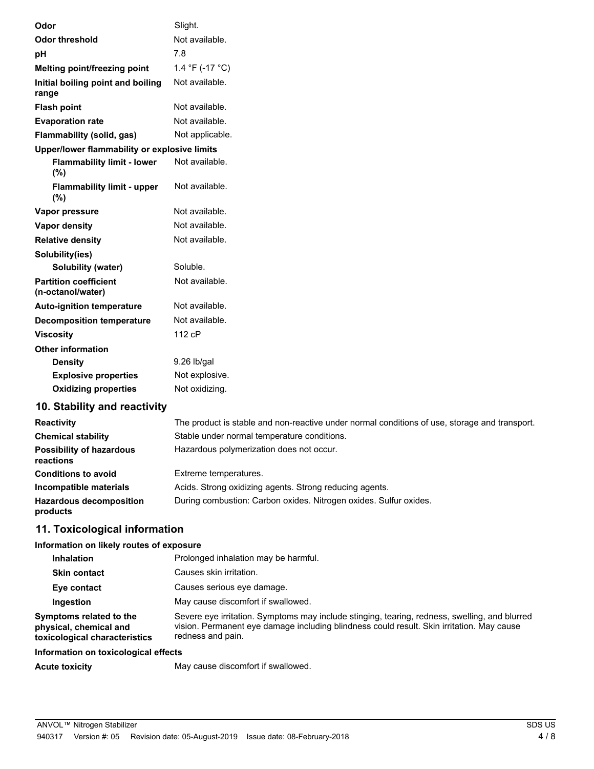| Odor  |                                                   | Slight.         |
|-------|---------------------------------------------------|-----------------|
|       | <b>Odor threshold</b>                             | Not available.  |
| pH    |                                                   | 7.8             |
|       | Melting point/freezing point                      | 1.4 °F (-17 °C) |
| range | Initial boiling point and boiling                 | Not available.  |
|       | <b>Flash point</b>                                | Not available.  |
|       | <b>Evaporation rate</b>                           | Not available.  |
|       | Flammability (solid, gas)                         | Not applicable. |
|       | Upper/lower flammability or explosive limits      |                 |
|       | <b>Flammability limit - lower</b><br>(%)          | Not available.  |
|       | <b>Flammability limit - upper</b><br>(%)          | Not available.  |
|       | Vapor pressure                                    | Not available.  |
|       | Vapor density                                     | Not available.  |
|       | <b>Relative density</b>                           | Not available.  |
|       | Solubility(ies)                                   |                 |
|       | Solubility (water)                                | Soluble.        |
|       | <b>Partition coefficient</b><br>(n-octanol/water) | Not available.  |
|       | <b>Auto-ignition temperature</b>                  | Not available.  |
|       | <b>Decomposition temperature</b>                  | Not available.  |
|       | <b>Viscosity</b>                                  | 112 cP          |
|       | <b>Other information</b>                          |                 |
|       | <b>Density</b>                                    | 9.26 lb/gal     |
|       | <b>Explosive properties</b>                       | Not explosive.  |
|       | <b>Oxidizing properties</b>                       | Not oxidizing.  |

# **10. Stability and reactivity**

| <b>Reactivity</b>                            | The product is stable and non-reactive under normal conditions of use, storage and transport. |
|----------------------------------------------|-----------------------------------------------------------------------------------------------|
| <b>Chemical stability</b>                    | Stable under normal temperature conditions.                                                   |
| <b>Possibility of hazardous</b><br>reactions | Hazardous polymerization does not occur.                                                      |
| <b>Conditions to avoid</b>                   | Extreme temperatures.                                                                         |
| Incompatible materials                       | Acids. Strong oxidizing agents. Strong reducing agents.                                       |
| <b>Hazardous decomposition</b><br>products   | During combustion: Carbon oxides. Nitrogen oxides. Sulfur oxides.                             |

### **11. Toxicological information**

# **Information on likely routes of exposure**

| Information on toxicological effects                                               |                                                                                                                                                                                                                 |
|------------------------------------------------------------------------------------|-----------------------------------------------------------------------------------------------------------------------------------------------------------------------------------------------------------------|
| Symptoms related to the<br>physical, chemical and<br>toxicological characteristics | Severe eye irritation. Symptoms may include stinging, tearing, redness, swelling, and blurred<br>vision. Permanent eye damage including blindness could result. Skin irritation. May cause<br>redness and pain. |
| Ingestion                                                                          | May cause discomfort if swallowed.                                                                                                                                                                              |
| Eye contact                                                                        | Causes serious eye damage.                                                                                                                                                                                      |
| <b>Skin contact</b>                                                                | Causes skin irritation.                                                                                                                                                                                         |
| <b>Inhalation</b>                                                                  | Prolonged inhalation may be harmful.                                                                                                                                                                            |

Acute toxicity **May cause discomfort if swallowed.**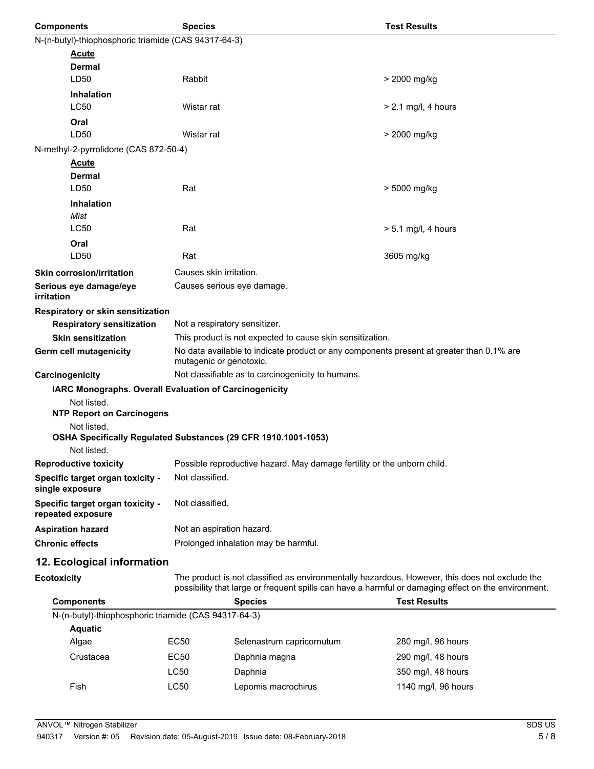| <b>Components</b>                                      | <b>Species</b>                                                                                                      | <b>Test Results</b>   |  |  |  |  |
|--------------------------------------------------------|---------------------------------------------------------------------------------------------------------------------|-----------------------|--|--|--|--|
|                                                        | N-(n-butyl)-thiophosphoric triamide (CAS 94317-64-3)                                                                |                       |  |  |  |  |
| <b>Acute</b>                                           |                                                                                                                     |                       |  |  |  |  |
| <b>Dermal</b>                                          |                                                                                                                     |                       |  |  |  |  |
| LD50                                                   | Rabbit                                                                                                              | > 2000 mg/kg          |  |  |  |  |
| <b>Inhalation</b>                                      |                                                                                                                     |                       |  |  |  |  |
| LC50                                                   | Wistar rat                                                                                                          | $> 2.1$ mg/l, 4 hours |  |  |  |  |
| Oral                                                   |                                                                                                                     |                       |  |  |  |  |
| LD50                                                   | Wistar rat                                                                                                          | > 2000 mg/kg          |  |  |  |  |
| N-methyl-2-pyrrolidone (CAS 872-50-4)                  |                                                                                                                     |                       |  |  |  |  |
| <b>Acute</b>                                           |                                                                                                                     |                       |  |  |  |  |
| Dermal<br>LD50                                         | Rat                                                                                                                 | > 5000 mg/kg          |  |  |  |  |
|                                                        |                                                                                                                     |                       |  |  |  |  |
| <b>Inhalation</b><br>Mist                              |                                                                                                                     |                       |  |  |  |  |
| <b>LC50</b>                                            | Rat                                                                                                                 | $> 5.1$ mg/l, 4 hours |  |  |  |  |
| Oral                                                   |                                                                                                                     |                       |  |  |  |  |
| LD50                                                   | Rat                                                                                                                 | 3605 mg/kg            |  |  |  |  |
| <b>Skin corrosion/irritation</b>                       | Causes skin irritation.                                                                                             |                       |  |  |  |  |
| Serious eye damage/eye<br>irritation                   | Causes serious eye damage.                                                                                          |                       |  |  |  |  |
| Respiratory or skin sensitization                      |                                                                                                                     |                       |  |  |  |  |
| <b>Respiratory sensitization</b>                       | Not a respiratory sensitizer.                                                                                       |                       |  |  |  |  |
| <b>Skin sensitization</b>                              | This product is not expected to cause skin sensitization.                                                           |                       |  |  |  |  |
| Germ cell mutagenicity                                 | No data available to indicate product or any components present at greater than 0.1% are<br>mutagenic or genotoxic. |                       |  |  |  |  |
| Carcinogenicity                                        | Not classifiable as to carcinogenicity to humans.                                                                   |                       |  |  |  |  |
| IARC Monographs. Overall Evaluation of Carcinogenicity |                                                                                                                     |                       |  |  |  |  |
| Not listed.<br><b>NTP Report on Carcinogens</b>        |                                                                                                                     |                       |  |  |  |  |
| Not listed.                                            |                                                                                                                     |                       |  |  |  |  |
| Not listed.                                            | OSHA Specifically Regulated Substances (29 CFR 1910.1001-1053)                                                      |                       |  |  |  |  |
| <b>Reproductive toxicity</b>                           | Possible reproductive hazard. May damage fertility or the unborn child.                                             |                       |  |  |  |  |
| Specific target organ toxicity -<br>single exposure    | Not classified.                                                                                                     |                       |  |  |  |  |
| Specific target organ toxicity -<br>repeated exposure  | Not classified.                                                                                                     |                       |  |  |  |  |
| <b>Aspiration hazard</b>                               | Not an aspiration hazard.                                                                                           |                       |  |  |  |  |
| <b>Chronic effects</b>                                 | Prolonged inhalation may be harmful.                                                                                |                       |  |  |  |  |
| 12. Ecological information                             |                                                                                                                     |                       |  |  |  |  |

**Ecotoxicity**

The product is not classified as environmentally hazardous. However, this does not exclude the possibility that large or frequent spills can have a harmful or damaging effect on the environment.

| <b>Components</b>                                    |             | <b>Species</b>            | <b>Test Results</b> |  |
|------------------------------------------------------|-------------|---------------------------|---------------------|--|
| N-(n-butyl)-thiophosphoric triamide (CAS 94317-64-3) |             |                           |                     |  |
| <b>Aquatic</b>                                       |             |                           |                     |  |
| Algae                                                | EC50        | Selenastrum capricornutum | 280 mg/l, 96 hours  |  |
| Crustacea                                            | EC50        | Daphnia magna             | 290 mg/l, 48 hours  |  |
|                                                      | <b>LC50</b> | Daphnia                   | 350 mg/l, 48 hours  |  |
| Fish                                                 | LC50        | Lepomis macrochirus       | 1140 mg/l, 96 hours |  |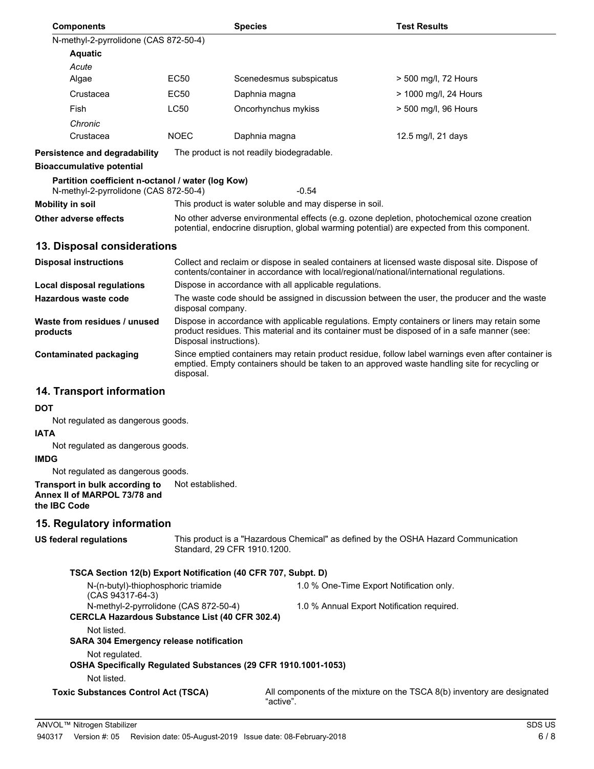| <b>Components</b>                                                                               |                                                                                                                                                                                                                          | <b>Species</b>              |                                                         | <b>Test Results</b>                                                                                                                                                                         |  |
|-------------------------------------------------------------------------------------------------|--------------------------------------------------------------------------------------------------------------------------------------------------------------------------------------------------------------------------|-----------------------------|---------------------------------------------------------|---------------------------------------------------------------------------------------------------------------------------------------------------------------------------------------------|--|
| N-methyl-2-pyrrolidone (CAS 872-50-4)                                                           |                                                                                                                                                                                                                          |                             |                                                         |                                                                                                                                                                                             |  |
| <b>Aquatic</b>                                                                                  |                                                                                                                                                                                                                          |                             |                                                         |                                                                                                                                                                                             |  |
| Acute                                                                                           |                                                                                                                                                                                                                          |                             |                                                         |                                                                                                                                                                                             |  |
| Algae                                                                                           | <b>EC50</b>                                                                                                                                                                                                              | Scenedesmus subspicatus     |                                                         | > 500 mg/l, 72 Hours                                                                                                                                                                        |  |
| Crustacea                                                                                       | EC50                                                                                                                                                                                                                     | Daphnia magna               |                                                         | > 1000 mg/l, 24 Hours                                                                                                                                                                       |  |
| Fish                                                                                            | LC50                                                                                                                                                                                                                     | Oncorhynchus mykiss         |                                                         | > 500 mg/l, 96 Hours                                                                                                                                                                        |  |
| Chronic                                                                                         |                                                                                                                                                                                                                          |                             |                                                         |                                                                                                                                                                                             |  |
| Crustacea                                                                                       | <b>NOEC</b>                                                                                                                                                                                                              | Daphnia magna               |                                                         | 12.5 mg/l, 21 days                                                                                                                                                                          |  |
| <b>Persistence and degradability</b>                                                            | The product is not readily biodegradable.                                                                                                                                                                                |                             |                                                         |                                                                                                                                                                                             |  |
| <b>Bioaccumulative potential</b>                                                                |                                                                                                                                                                                                                          |                             |                                                         |                                                                                                                                                                                             |  |
| Partition coefficient n-octanol / water (log Kow)<br>N-methyl-2-pyrrolidone (CAS 872-50-4)      |                                                                                                                                                                                                                          |                             | $-0.54$                                                 |                                                                                                                                                                                             |  |
| <b>Mobility in soil</b>                                                                         |                                                                                                                                                                                                                          |                             | This product is water soluble and may disperse in soil. |                                                                                                                                                                                             |  |
| Other adverse effects                                                                           |                                                                                                                                                                                                                          |                             |                                                         | No other adverse environmental effects (e.g. ozone depletion, photochemical ozone creation<br>potential, endocrine disruption, global warming potential) are expected from this component.  |  |
| 13. Disposal considerations                                                                     |                                                                                                                                                                                                                          |                             |                                                         |                                                                                                                                                                                             |  |
| <b>Disposal instructions</b>                                                                    |                                                                                                                                                                                                                          |                             |                                                         | Collect and reclaim or dispose in sealed containers at licensed waste disposal site. Dispose of<br>contents/container in accordance with local/regional/national/international regulations. |  |
| <b>Local disposal regulations</b>                                                               |                                                                                                                                                                                                                          |                             | Dispose in accordance with all applicable regulations.  |                                                                                                                                                                                             |  |
| Hazardous waste code                                                                            | disposal company.                                                                                                                                                                                                        |                             |                                                         | The waste code should be assigned in discussion between the user, the producer and the waste                                                                                                |  |
| Waste from residues / unused<br>products                                                        | Dispose in accordance with applicable regulations. Empty containers or liners may retain some<br>product residues. This material and its container must be disposed of in a safe manner (see:<br>Disposal instructions). |                             |                                                         |                                                                                                                                                                                             |  |
| <b>Contaminated packaging</b>                                                                   | Since emptied containers may retain product residue, follow label warnings even after container is<br>emptied. Empty containers should be taken to an approved waste handling site for recycling or<br>disposal.         |                             |                                                         |                                                                                                                                                                                             |  |
| 14. Transport information                                                                       |                                                                                                                                                                                                                          |                             |                                                         |                                                                                                                                                                                             |  |
| DOT                                                                                             |                                                                                                                                                                                                                          |                             |                                                         |                                                                                                                                                                                             |  |
| Not regulated as dangerous goods.                                                               |                                                                                                                                                                                                                          |                             |                                                         |                                                                                                                                                                                             |  |
| IATA                                                                                            |                                                                                                                                                                                                                          |                             |                                                         |                                                                                                                                                                                             |  |
| Not regulated as dangerous goods.<br>IMDG                                                       |                                                                                                                                                                                                                          |                             |                                                         |                                                                                                                                                                                             |  |
| Not regulated as dangerous goods.                                                               |                                                                                                                                                                                                                          |                             |                                                         |                                                                                                                                                                                             |  |
| Transport in bulk according to<br>Annex II of MARPOL 73/78 and<br>the IBC Code                  | Not established.                                                                                                                                                                                                         |                             |                                                         |                                                                                                                                                                                             |  |
| 15. Regulatory information                                                                      |                                                                                                                                                                                                                          |                             |                                                         |                                                                                                                                                                                             |  |
| US federal regulations                                                                          |                                                                                                                                                                                                                          | Standard, 29 CFR 1910.1200. |                                                         | This product is a "Hazardous Chemical" as defined by the OSHA Hazard Communication                                                                                                          |  |
| TSCA Section 12(b) Export Notification (40 CFR 707, Subpt. D)                                   |                                                                                                                                                                                                                          |                             |                                                         |                                                                                                                                                                                             |  |
| N-(n-butyl)-thiophosphoric triamide                                                             |                                                                                                                                                                                                                          |                             | 1.0 % One-Time Export Notification only.                |                                                                                                                                                                                             |  |
| (CAS 94317-64-3)<br>N-methyl-2-pyrrolidone (CAS 872-50-4)                                       |                                                                                                                                                                                                                          |                             |                                                         |                                                                                                                                                                                             |  |
| <b>CERCLA Hazardous Substance List (40 CFR 302.4)</b>                                           |                                                                                                                                                                                                                          |                             | 1.0 % Annual Export Notification required.              |                                                                                                                                                                                             |  |
| Not listed.<br><b>SARA 304 Emergency release notification</b>                                   |                                                                                                                                                                                                                          |                             |                                                         |                                                                                                                                                                                             |  |
| Not regulated.<br>OSHA Specifically Regulated Substances (29 CFR 1910.1001-1053)<br>Not listed. |                                                                                                                                                                                                                          |                             |                                                         |                                                                                                                                                                                             |  |
| <b>Toxic Substances Control Act (TSCA)</b>                                                      |                                                                                                                                                                                                                          | "active".                   |                                                         | All components of the mixture on the TSCA 8(b) inventory are designated                                                                                                                     |  |
|                                                                                                 |                                                                                                                                                                                                                          |                             |                                                         |                                                                                                                                                                                             |  |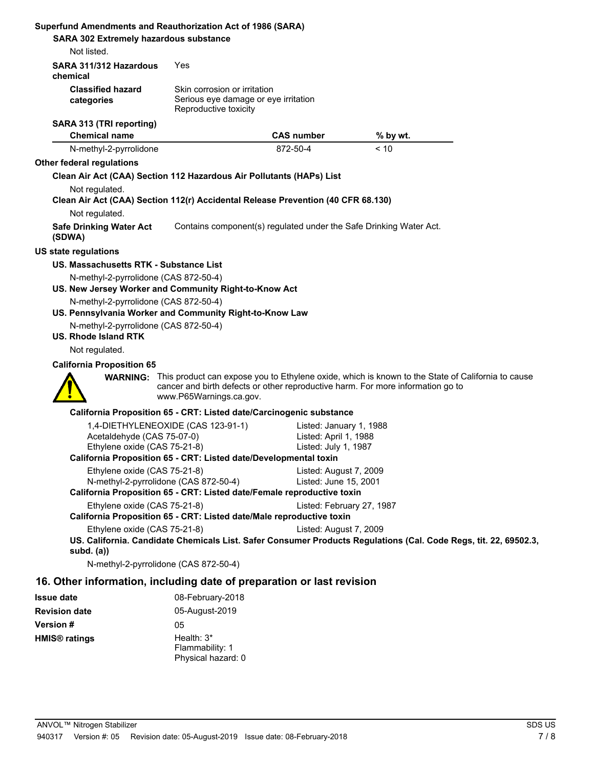| Superfund Amendments and Reauthorization Act of 1986 (SARA)                                        |                                                               |                                                                        |                                                                                                                                                                                                      |
|----------------------------------------------------------------------------------------------------|---------------------------------------------------------------|------------------------------------------------------------------------|------------------------------------------------------------------------------------------------------------------------------------------------------------------------------------------------------|
| <b>SARA 302 Extremely hazardous substance</b>                                                      |                                                               |                                                                        |                                                                                                                                                                                                      |
| Not listed.                                                                                        |                                                               |                                                                        |                                                                                                                                                                                                      |
| SARA 311/312 Hazardous<br>chemical                                                                 | Yes                                                           |                                                                        |                                                                                                                                                                                                      |
| <b>Classified hazard</b>                                                                           | Skin corrosion or irritation                                  |                                                                        |                                                                                                                                                                                                      |
| categories                                                                                         | Serious eye damage or eye irritation<br>Reproductive toxicity |                                                                        |                                                                                                                                                                                                      |
| SARA 313 (TRI reporting)                                                                           |                                                               |                                                                        |                                                                                                                                                                                                      |
| <b>Chemical name</b>                                                                               |                                                               | <b>CAS number</b>                                                      | % by wt.                                                                                                                                                                                             |
| N-methyl-2-pyrrolidone                                                                             |                                                               | 872-50-4                                                               | < 10                                                                                                                                                                                                 |
| Other federal regulations                                                                          |                                                               |                                                                        |                                                                                                                                                                                                      |
| Clean Air Act (CAA) Section 112 Hazardous Air Pollutants (HAPs) List                               |                                                               |                                                                        |                                                                                                                                                                                                      |
| Not regulated.                                                                                     |                                                               |                                                                        |                                                                                                                                                                                                      |
| Clean Air Act (CAA) Section 112(r) Accidental Release Prevention (40 CFR 68.130)<br>Not regulated. |                                                               |                                                                        |                                                                                                                                                                                                      |
| <b>Safe Drinking Water Act</b>                                                                     |                                                               | Contains component(s) regulated under the Safe Drinking Water Act.     |                                                                                                                                                                                                      |
| (SDWA)                                                                                             |                                                               |                                                                        |                                                                                                                                                                                                      |
| <b>US state regulations</b>                                                                        |                                                               |                                                                        |                                                                                                                                                                                                      |
| US. Massachusetts RTK - Substance List                                                             |                                                               |                                                                        |                                                                                                                                                                                                      |
| N-methyl-2-pyrrolidone (CAS 872-50-4)                                                              |                                                               |                                                                        |                                                                                                                                                                                                      |
| US. New Jersey Worker and Community Right-to-Know Act                                              |                                                               |                                                                        |                                                                                                                                                                                                      |
| N-methyl-2-pyrrolidone (CAS 872-50-4)                                                              |                                                               |                                                                        |                                                                                                                                                                                                      |
| US. Pennsylvania Worker and Community Right-to-Know Law                                            |                                                               |                                                                        |                                                                                                                                                                                                      |
| N-methyl-2-pyrrolidone (CAS 872-50-4)<br>US. Rhode Island RTK                                      |                                                               |                                                                        |                                                                                                                                                                                                      |
| Not regulated.                                                                                     |                                                               |                                                                        |                                                                                                                                                                                                      |
| <b>California Proposition 65</b>                                                                   |                                                               |                                                                        |                                                                                                                                                                                                      |
|                                                                                                    | www.P65Warnings.ca.gov.                                       |                                                                        | <b>WARNING:</b> This product can expose you to Ethylene oxide, which is known to the State of California to cause<br>cancer and birth defects or other reproductive harm. For more information go to |
|                                                                                                    |                                                               | California Proposition 65 - CRT: Listed date/Carcinogenic substance    |                                                                                                                                                                                                      |
|                                                                                                    | 1,4-DIETHYLENEOXIDE (CAS 123-91-1)                            | Listed: January 1, 1988                                                |                                                                                                                                                                                                      |
| Acetaldehyde (CAS 75-07-0)                                                                         |                                                               | Listed: April 1, 1988                                                  |                                                                                                                                                                                                      |
| Ethylene oxide (CAS 75-21-8)                                                                       |                                                               | Listed: July 1, 1987                                                   |                                                                                                                                                                                                      |
| California Proposition 65 - CRT: Listed date/Developmental toxin                                   |                                                               |                                                                        |                                                                                                                                                                                                      |
| Ethylene oxide (CAS 75-21-8)<br>N-methyl-2-pyrrolidone (CAS 872-50-4)                              |                                                               | Listed: August 7, 2009<br>Listed: June 15, 2001                        |                                                                                                                                                                                                      |
|                                                                                                    |                                                               | California Proposition 65 - CRT: Listed date/Female reproductive toxin |                                                                                                                                                                                                      |
| Ethylene oxide (CAS 75-21-8)                                                                       |                                                               | Listed: February 27, 1987                                              |                                                                                                                                                                                                      |
|                                                                                                    |                                                               | California Proposition 65 - CRT: Listed date/Male reproductive toxin   |                                                                                                                                                                                                      |
| Ethylene oxide (CAS 75-21-8)                                                                       |                                                               | Listed: August 7, 2009                                                 |                                                                                                                                                                                                      |
|                                                                                                    |                                                               |                                                                        | US. California. Candidate Chemicals List. Safer Consumer Products Regulations (Cal. Code Regs, tit. 22, 69502.3,                                                                                     |
| subd. $(a)$<br>N-methyl-2-pyrrolidone (CAS 872-50-4)                                               |                                                               |                                                                        |                                                                                                                                                                                                      |
| 16. Other information, including date of preparation or last revision                              |                                                               |                                                                        |                                                                                                                                                                                                      |
|                                                                                                    |                                                               |                                                                        |                                                                                                                                                                                                      |
| <b>Issue date</b><br><b>Revision date</b>                                                          | 08-February-2018<br>05-August-2019                            |                                                                        |                                                                                                                                                                                                      |
| Version #                                                                                          | 05                                                            |                                                                        |                                                                                                                                                                                                      |
| <b>HMIS<sup>®</sup></b> ratings                                                                    | Health: 3*                                                    |                                                                        |                                                                                                                                                                                                      |
|                                                                                                    |                                                               |                                                                        |                                                                                                                                                                                                      |

Flammability: 1 Physical hazard: 0